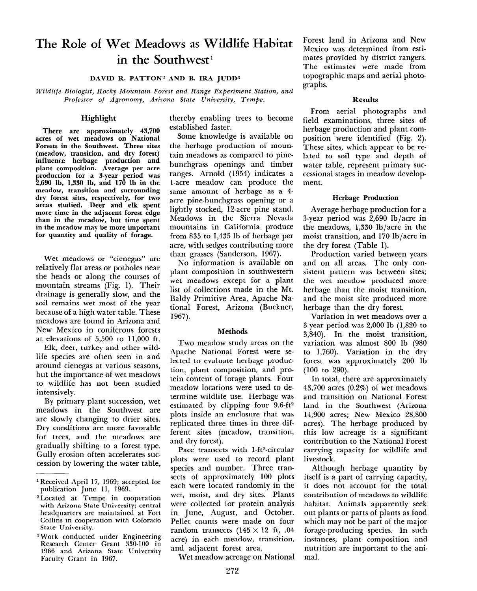# **The Role of Wet Meadows as Wildlife Habitat**  in the Southwest<sup>1</sup>

## **DAVID R. PATTON2 AND B. IRA JUDD3**

*Wildlife Biologist, Rocky Mountain Forest and Range Experiment Station, and Professor of Agronomy, Arizona State University, Tempe.* 

## **Highlight**

**There are approximately 43,700**  acres of wet meadows on **Nation**a **Forests in the Southwest. Three sites (meadow, transition, and dry forest) influence herbage production and plant composition. Average per acre production for a 3-year period was 2,690 lb, 1,330 lb, and 170 lb in the meadow, transition and surrounding dry forest sites, respectively, for two areas studied. Deer and elk spent more time in the adjacent forest edge than in the meadow, but time spent in the meadow may be more important for quantity and quality of forage.** 

Wet meadows or "cienegas" are relatively flat areas or potholes near the heads or along the courses of mountain streams (Fig. 1). Their drainage is generally slow, and the soil remains wet most of the year because of a high water table. These meadows are found in Arizona and New Mexico in coniferous forests at elevations of 5,500 to 11,000 ft.

Elk, deer, turkey and other wildlife species are often seen in and around cienegas at various seasons, but the importance of wet meadows to wildlife has not been studied intensively.

By primary plant succession, wet meadows in the Southwest are are slowly changing to drier sites. Dry conditions are more favorable for trees, and the meadows are gradually shifting to a forest type. Gully erosion often accelerates succession by lowering the water table,

**z Work conducted under Engineering Research Center Grant 330-100 in 1966 and Arizona State University Faculty Grant in 1967.** 

thereby enabling trees to become established faster.

Some knowledge is available on the herbage production of mountain meadows as compared to pinebunchgrass openings and timber ranges. Arnold (1954) indicates a l-acre meadow can produce the same amount of herbage as a 4 acre pine-bunchgrass opening or a lightly stocked, 12-acre pine stand. Meadows in the Sierra Nevada mountains in California produce from 835 to 1,435 lb of herbage per acre, with sedges contributing more than grasses (Sanderson, 1967).

No information is available on plant composition in southwestern wet meadows except for a plant list of collections made in the Mt. Baldy Primitive Area, Apache National Forest, Arizona (Buckner, 1967).

## Methods

Two meadow study areas on the Apache National Forest were selected to evaluate herbage production, plant composition, and protein content of forage plants. Four meadow locations were used to determine wildlife use. Herbage was estimated by clipping four 9.6-ft2 plots inside an enclosure that was replicated three times in three different sites (meadow, transition, and dry forest).

Pace transects with 1-ft<sup>2</sup>-circular plots were used to record plant species and number. Three transects of approximately 100 plots each were located randomly in the wet, moist, and dry sites. Plants were collected for protein analysis in June, August, and October. Pellet counts were made on four random transects (145 **x** 12 ft, .04 acre) in each meadow, transition, and adjacent forest area.

Wet meadow acreage on National

Forest land in Arizona and New Mexico was determined from estimates provided by district rangers. The estimates were made from topographic maps and aerial photographs.

## **Results**

From aerial photographs and field examinations, three sites of herbage production and plant composition were identified (Fig. 2). These sites, which appear to be related to soil type and depth of water table, represent primary successional stages in meadow development.

## Herbage Production

Average herbage production for a 3-year period was 2,690 lb/acre in the meadows, 1,330 lb/acre in the moist transition, and 170 lb/acre in the dry forest (Table 1).

Production varied between years and on all areas. The only consistent pattern was between sites; the wet meadow produced more herbage than the moist transition, and the moist site produced more herbage than the dry forest.

Variation in wet meadows over a 3-year period was 2,000 lb (1,820 to 3,840). In the moist transition, variation was almost 800 lb (980 to 1,760). Variation in the dry forest was approximately 200 lb (100 to 290).

In total, there are approximately 43,700 acres (0.2%) of wet meadows and transition on National Forest land in the Southwest (Arizona 14,900 acres; New Mexico 28,800 acres). The herbage produced by this low acreage is a significant contribution to the National Forest carrying capacity for wildlife and livestock.

Although herbage quantity by itself is a part of carrying capacity, it does not account for the total contribution of meadows to wildlife habitat. Animals apparently seek out plants or parts of plants as food which may not be part of the major forage-producing species. In such instances, plant composition and nutrition are important to the animal.

l **Received April 17, 1969; accepted for publication June 11, 1969.** 

**<sup>2</sup>Located at Tempe in cooperation with Arizona State University; central headquarters are maintained at Fort Collins in cooperation with Colorado**  Collins in cooperation with Colorado<br>State University.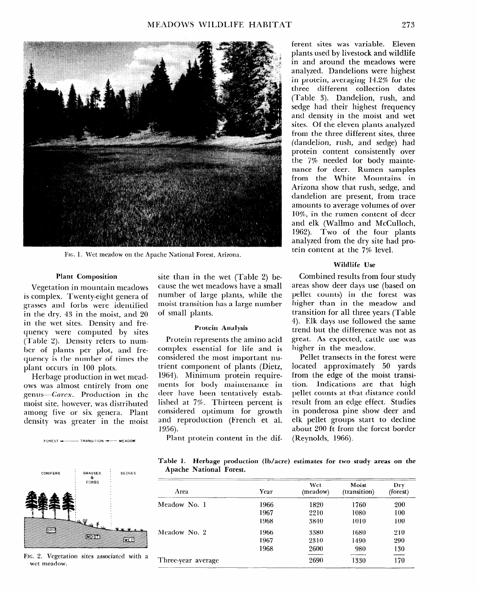

FIG. 1. Wet meadow on the Apache National Forest, Arizona.

#### Plant Composition

Vegetation in mountain meadows is complex. Twenty-eight genera of grasses and forbs were identifiecl in the dry, 43 in the moist, and 20 in the wet sites. Density and frequency were computed by sites (Table 2). Density refers to number of plants per plot, and frequency is the number of times the plant occurs in 100 plots.

Herbage production in wet meadows was almost entirely from one genus-Carex. Production in the moist site, however, was distributed among five or six genera. Plant density was greater in the moist



wet wet meadow

site than in the wet (Table 2) because the wet meadows have a small number of large plants, while the moist transition has a large number of small plants.

#### Protein Analysis

Protein represents the amino acid complex essential for life and is considered the most important nutrient component of plants (Dietz, 1964). Minimum protein requirements for body maintenance in deer have been tentatively established at 7%. Thirteen percent is considered optimum for growth and reproduction (French et al. 1956).

ferent sites was variable. Eleven plants used by livestock and wildlife in and around the meadows were analyzed. Dandelions were highest in protein, averaging 14.2% for the three different collection dates (Table 3). Dandelion, rush, and sedge had their highest frequency and density in the moist and wet sites. Of the eleven plants analyzed from the three different sites, three (dandelion, rush, and sedge) had protein content consistently over the 7% needed for body maintenance for deer. Rumen samples from the White Mountains in Arizona show that rush, sedge, and dandelion are present, from trace amounts to average volumes of over IO%, in the rumen content of deer and elk (Wallmo and McCulloch, 1962). Two of the four plants analyzed from the dry site had protein content at the 7% level.

### **Wildlife Use**

Combined results from four study areas show deer days use (based on pellet counts) in the forest was higher than in the meadow and transition for all three years (Table 4). Elk days use followed the same trend but the difference was not as great. As expected, cattle use was higher in the meadow.

Pellet transects in the forest were located approximately 50 yards from the edge of the moist transition. Indications are that high pellet counts at that distance could result from an edge effect. Studies in ponderosa pine show deer and elk pellet groups start to decline about 200 ft from the forest border (Reynolds, 1966).

 $FOREST$   $\leftarrow$  TRANSITION  $\leftarrow$  MEADOW Plant protein content in the dif-

**Table 1. Herbage production (lb/acre) estimates for two study areas on the Apache National Forest.** 

| Area               | Year | Wet<br>(meadow) | Moist<br>(transition) | Dry<br>(forest)  |
|--------------------|------|-----------------|-----------------------|------------------|
| Meadow No. 1       | 1966 | 1820            | 1760                  | 200              |
|                    | 1967 | 2210            | 1080                  | 100              |
|                    | 1968 | 3840            | 1010                  | 100              |
| Meadow No. 2       | 1966 | 3380            | 1680                  | 210              |
|                    | 1967 | 2310            | 1490                  | 290              |
|                    | 1968 | 2600            | 980                   | 130              |
| Three-year average |      | 2690            | 1330                  | .<br>مسجد<br>170 |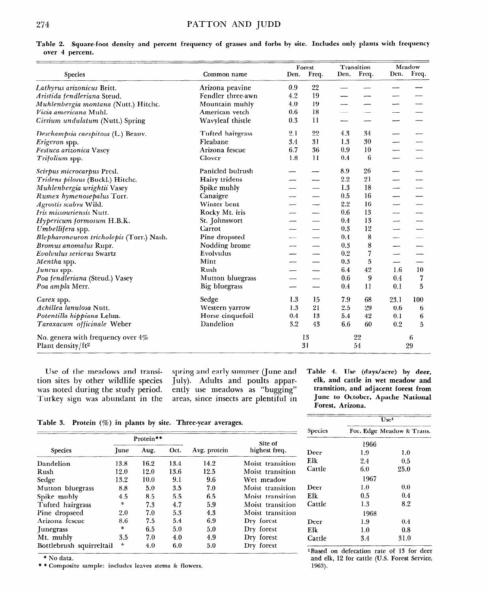|                                                                    |                      |      | Forest          |      | Transition |      | Meadow  |  |
|--------------------------------------------------------------------|----------------------|------|-----------------|------|------------|------|---------|--|
| Species                                                            | Common name          | Den. | Freq.           | Den. | Freq.      | Den. | Freq.   |  |
| Lathyrus arizonicus Britt.                                         | Arizona peavine      | 0.9  | 22              |      |            |      |         |  |
| Aristida fendleriana Steud.                                        | Fendler three-awn    | 4.2  | 19              |      |            |      |         |  |
| Muhlenbergia montana (Nutt.) Hitchc.                               | Mountain muhly       | 4.0  | 19              |      |            |      |         |  |
| Vicia americana Muhl.                                              | American vetch       | 0.6  | 18              |      |            |      |         |  |
| Cirsium undulatum (Nutt.) Spring                                   | Wavyleaf thistle     | 0.3  | 11              |      |            |      |         |  |
| Deschampsia caespitosa (L.) Beauv.                                 | Tufted hairgrass     | 2.1  | 22              | 4.3  | 34         |      |         |  |
| Erigeron spp.                                                      | Fleabane             | 3.4  | 31              | 1.3  | 30         |      |         |  |
| Festuca arizonica Vasey                                            | Arizona fescue       | 6.7  | 36              | 0.9  | 10         |      |         |  |
| Trifolium spp.                                                     | Clover               | 1.8  | 11              | 0.4  | 6          |      |         |  |
| Scirpus microcarpus Presl.                                         | Panicled bulrush     |      |                 | 8.9  | 26         |      |         |  |
| Tridens pilosus (Buckl.) Hitchc.                                   | Hairy tridens        |      |                 | 2.2  | 21         |      |         |  |
| Muhlenbergia wrightii Vasey                                        | Spike muhly          |      |                 | 1.3  | 18         |      |         |  |
| Rumex hymenosepalus Torr.                                          | Canaigre             |      |                 | 0.5  | 16         |      |         |  |
| Agrostis scabra Wild.                                              | Winter bent          |      |                 | 2.2  | 16         |      |         |  |
| <i>Iris missouriensis</i> Nutt.                                    | Rocky Mt. iris       |      |                 | 0.6  | 13         |      |         |  |
| Hypericum formosum H.B.K.                                          | St. Johnswort        |      |                 | 0.4  | 13         |      |         |  |
| Umbellifera spp.                                                   | Carrot               |      |                 | 0.3  | 12         |      |         |  |
| Blepharoneuron tricholepis (Torr.) Nash.                           | Pine dropseed        |      |                 | 0.4  | 8          |      |         |  |
| Bromus anomalus Rupr.                                              | Nodding brome        |      |                 | 0.3  | 8          |      |         |  |
| Evolvulus sericeus Swartz                                          | Evolvulus            |      |                 | 0.2  | 7          |      |         |  |
| Mentha spp.                                                        | Mint                 |      |                 | 0.3  | 5          |      |         |  |
| Juncus spp.                                                        | Rush                 |      | --              | 6.4  | 42         | 1.6  | 10      |  |
| Poa fendleriana (Steud.) Vasey                                     | Mutton bluegrass     |      |                 | 0.6  | 9          | 0.4  | 7       |  |
| Poa ampla Merr.                                                    | <b>Big bluegrass</b> |      | $\qquad \qquad$ | 0.4  | 11         | 0.1  | 5       |  |
| Carex spp.                                                         | Sedge                | 1.3  | 15              | 7.9  | 68         | 23.1 | 100     |  |
| Achillea lanulosa Nutt.                                            | Western yarrow       | 1.3  | 21              | 2.5  | 29         | 0.6  | 6       |  |
| Potentilla hippiana Lehm.                                          | Horse cinquefoil     | 0.4  | 13              | 5.4  | 42         | 0.1  | 6       |  |
| Taraxacum officinale Weber                                         | Dandelion            | 3.2  | 43              | 6.6  | 60         | 0.2  | 5       |  |
| No. genera with frequency over 4%<br>Plant density/ft <sup>2</sup> |                      |      | 13<br>31        |      | 22<br>54   |      | 6<br>29 |  |

**Table 2. Square-foot density and percent frequency of grasses and forbs by site. Includes only plants with frequency over 4 percent.** 

**tion sites by other wildlife species July). Adults and poults appar- elk, and cattle in wet meadow and**  was noted during the study period. ently use meadows as "bugging" transition, and adjacent forest from **Turkey sign was abundant in the areas, since insects are plentiful in June to October, Apache National** 

**Use of the meadows and transi- spring and early summer (June and Table 4. Use (days/acre) by deer,** 

**Forest, Arizona.** 

 $\overline{\text{Use}^1}$ 

Table 3. Protein (%) in plants by site. Three-year averages.

| $\cdot$                  |               |      |      |              | Species          | For. Edge Meadow & Trans.                 |         |         |
|--------------------------|---------------|------|------|--------------|------------------|-------------------------------------------|---------|---------|
|                          | Protein**     |      |      | Site of      |                  | 1966                                      |         |         |
| <b>Species</b>           | June          | Aug. | Oct. | Avg. protein | highest freq.    | Deer                                      | 1.9     | 1.0     |
| Dandelion                | 13.8          | 16.2 | 13.4 | 14.2         | Moist transition | Elk                                       | 2.4     | 0.5     |
| Rush                     | 12.0          | 12.0 | 13.6 | 12.5         | Moist transition | Cattle                                    | 6.0     | 25.0    |
| Sedge                    | 13.2          | 10.0 | 9.1  | 9.6          | Wet meadow       |                                           | 1967    |         |
| Mutton bluegrass         | 8.8           | 5.0  | 3.5  | 7.0          | Moist transition | Deer                                      | $1.0\,$ | 0.0     |
| Spike muhly              | 4.5           | 8.5  | 5.5  | 6.5          | Moist transition | Elk                                       | 0.5     | $0.4\,$ |
| Tufted hairgrass         | *             | 7.3  | 4.7  | 5.9          | Moist transition | Cattle                                    | 1.3     | 8.2     |
| Pine dropseed            | 2.0           | 7.0  | 5.3  | 4.3          | Moist transition | 1968                                      |         |         |
| Arizona fescue           | 8.6           | 7.5  | 5.4  | 6.9          | Dry forest       | Deer                                      | 1.9     | 0.4     |
| <i>unegrass</i>          | $\mathcal{C}$ | 6.5  | 5.0  | 5.0          | Dry forest       | Elk                                       | 1.0     | 0.8     |
| Mt. muhly                | 3.5           | 7.0  | 4.0  | 4.9          | Dry forest       | Cattle                                    | 3.4     | 31.0    |
| Bottlebrush squirreltail | 某             | 4.0  | 6.0  | 5.0          | Dry forest       | 1 Rased on defecation rate of 18 for deep |         |         |

\* No data.

\* \* Composite sample: includes leaves stems & flowers.

 $\frac{1}{2}$  if  $\frac{1}{2}$  for cattle  $\frac{1}{2}$  for  $\frac{1}{2}$  for  $\frac{1}{2}$  for  $\frac{1}{2}$  for  $\frac{1}{2}$  for  $\frac{1}{2}$  for  $\frac{1}{2}$  for  $\frac{1}{2}$  for  $\frac{1}{2}$  for  $\frac{1}{2}$  for  $\frac{1}{2}$  for  $\frac{1}{2}$  for  $\frac{1}{2}$  for  $\frac{1$ and elk, 12 for cattle (U.S. Forest Service, 1963).